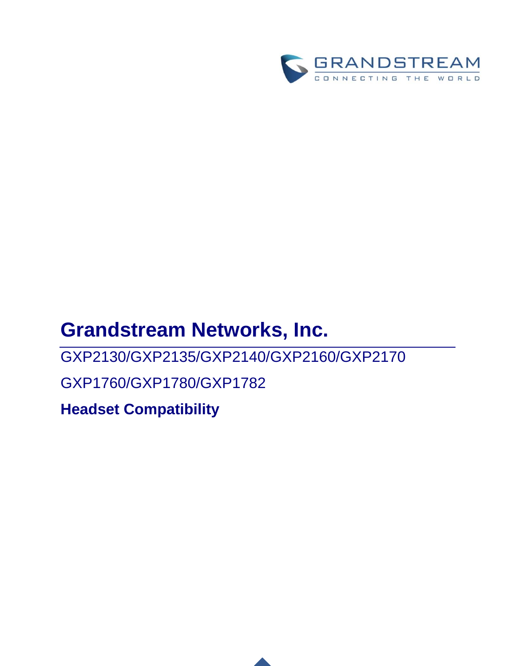

## **Grandstream Networks, Inc.**

GXP2130/GXP2135/GXP2140/GXP2160/GXP2170

GXP1760/GXP1780/GXP1782

**Headset Compatibility**

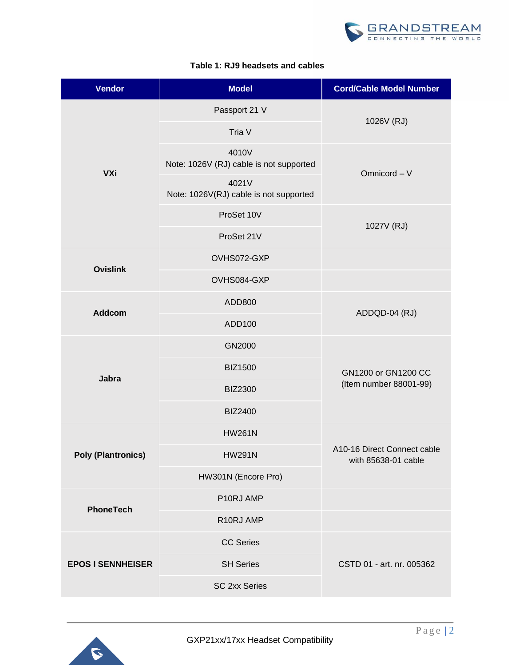

|  |  |  | Table 1: RJ9 headsets and cables |  |  |
|--|--|--|----------------------------------|--|--|
|--|--|--|----------------------------------|--|--|

| <b>Vendor</b>             | <b>Model</b>                                     | <b>Cord/Cable Model Number</b>                     |  |
|---------------------------|--------------------------------------------------|----------------------------------------------------|--|
|                           | Passport 21 V                                    |                                                    |  |
|                           | Tria V                                           | 1026V (RJ)                                         |  |
| <b>VXi</b>                | 4010V<br>Note: 1026V (RJ) cable is not supported | Omnicord - V                                       |  |
|                           | 4021V<br>Note: 1026V(RJ) cable is not supported  |                                                    |  |
|                           | ProSet 10V                                       | 1027V (RJ)                                         |  |
|                           | ProSet 21V                                       |                                                    |  |
| <b>Ovislink</b>           | OVHS072-GXP                                      |                                                    |  |
|                           | OVHS084-GXP                                      |                                                    |  |
| <b>Addcom</b>             | ADD800                                           |                                                    |  |
|                           | ADD100                                           | ADDQD-04 (RJ)                                      |  |
|                           | GN2000                                           |                                                    |  |
|                           | <b>BIZ1500</b>                                   | GN1200 or GN1200 CC                                |  |
| Jabra                     | <b>BIZ2300</b>                                   | (Item number 88001-99)                             |  |
|                           | <b>BIZ2400</b>                                   |                                                    |  |
| <b>Poly (Plantronics)</b> | <b>HW261N</b>                                    |                                                    |  |
|                           | <b>HW291N</b>                                    | A10-16 Direct Connect cable<br>with 85638-01 cable |  |
|                           | HW301N (Encore Pro)                              |                                                    |  |
| <b>PhoneTech</b>          | P10RJ AMP                                        |                                                    |  |
|                           | R10RJ AMP                                        |                                                    |  |
| <b>EPOS I SENNHEISER</b>  | <b>CC Series</b>                                 |                                                    |  |
|                           | <b>SH Series</b>                                 | CSTD 01 - art. nr. 005362                          |  |
|                           | <b>SC 2xx Series</b>                             |                                                    |  |

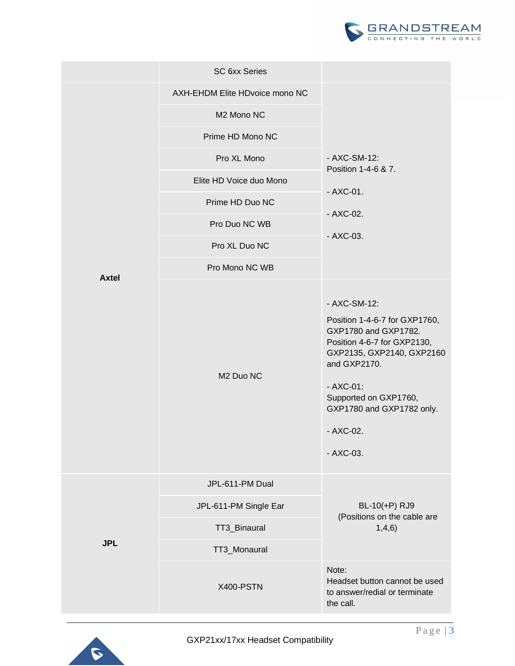

|              | <b>SC 6xx Series</b>           |                                                                                                                                                                                                                                                   |
|--------------|--------------------------------|---------------------------------------------------------------------------------------------------------------------------------------------------------------------------------------------------------------------------------------------------|
|              | AXH-EHDM Elite HDvoice mono NC |                                                                                                                                                                                                                                                   |
|              | M2 Mono NC                     |                                                                                                                                                                                                                                                   |
|              | Prime HD Mono NC               |                                                                                                                                                                                                                                                   |
|              | Pro XL Mono                    | - AXC-SM-12:<br>Position 1-4-6 & 7.                                                                                                                                                                                                               |
|              | Elite HD Voice duo Mono        | $-AXC-01.$                                                                                                                                                                                                                                        |
|              | Prime HD Duo NC                |                                                                                                                                                                                                                                                   |
|              | Pro Duo NC WB                  | - AXC-02.                                                                                                                                                                                                                                         |
|              | Pro XL Duo NC                  | $-AXC-03.$                                                                                                                                                                                                                                        |
| <b>Axtel</b> | Pro Mono NC WB                 |                                                                                                                                                                                                                                                   |
|              | M <sub>2</sub> Duo NC          | - AXC-SM-12:<br>Position 1-4-6-7 for GXP1760,<br>GXP1780 and GXP1782.<br>Position 4-6-7 for GXP2130,<br>GXP2135, GXP2140, GXP2160<br>and GXP2170.<br>$-AXC-01$ :<br>Supported on GXP1760,<br>GXP1780 and GXP1782 only.<br>- AXC-02.<br>$-AXC-03.$ |
| <b>JPL</b>   | JPL-611-PM Dual                |                                                                                                                                                                                                                                                   |
|              | JPL-611-PM Single Ear          | BL-10(+P) RJ9<br>(Positions on the cable are                                                                                                                                                                                                      |
|              | TT3_Binaural                   | 1,4,6)                                                                                                                                                                                                                                            |
|              | TT3_Monaural                   |                                                                                                                                                                                                                                                   |
|              | X400-PSTN                      | Note:<br>Headset button cannot be used<br>to answer/redial or terminate<br>the call.                                                                                                                                                              |
|              |                                |                                                                                                                                                                                                                                                   |

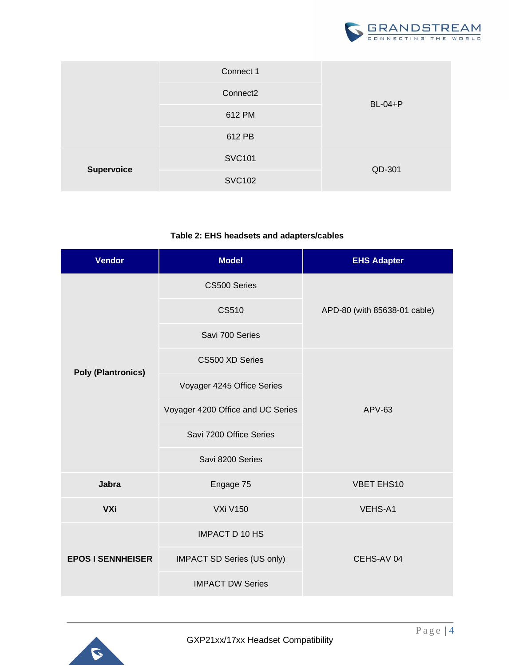

|                   | Connect 1            |                |
|-------------------|----------------------|----------------|
|                   | Connect <sub>2</sub> | <b>BL-04+P</b> |
|                   | 612 PM               |                |
|                   | 612 PB               |                |
| <b>Supervoice</b> | <b>SVC101</b>        |                |
|                   | <b>SVC102</b>        | QD-301         |

## **Table 2: EHS headsets and adapters/cables**

| <b>Vendor</b>             | <b>Model</b>                      | <b>EHS Adapter</b>           |  |
|---------------------------|-----------------------------------|------------------------------|--|
|                           | CS500 Series                      |                              |  |
|                           | <b>CS510</b>                      | APD-80 (with 85638-01 cable) |  |
|                           | Savi 700 Series                   |                              |  |
|                           | CS500 XD Series                   |                              |  |
| <b>Poly (Plantronics)</b> | Voyager 4245 Office Series        |                              |  |
|                           | Voyager 4200 Office and UC Series | $APV-63$                     |  |
|                           | Savi 7200 Office Series           |                              |  |
|                           | Savi 8200 Series                  |                              |  |
| <b>Jabra</b>              | Engage 75                         | <b>VBET EHS10</b>            |  |
| <b>VXi</b>                | <b>VXi V150</b>                   | VEHS-A1                      |  |
| <b>EPOS I SENNHEISER</b>  | <b>IMPACT D 10 HS</b>             |                              |  |
|                           | IMPACT SD Series (US only)        | CEHS-AV 04                   |  |
|                           | <b>IMPACT DW Series</b>           |                              |  |

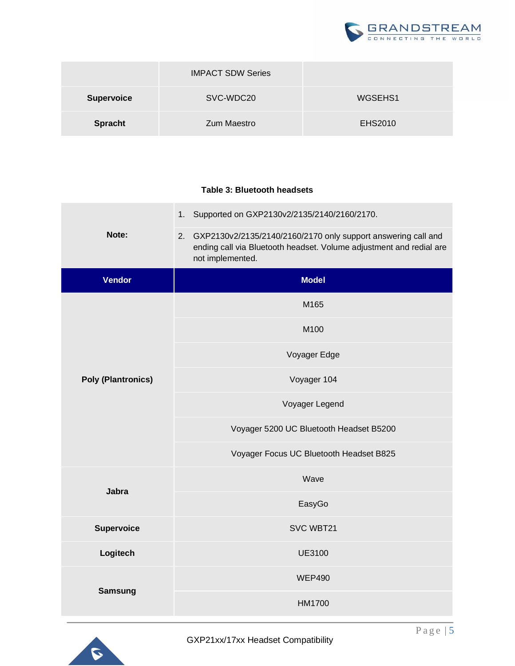

|                   | <b>IMPACT SDW Series</b> |         |
|-------------------|--------------------------|---------|
| <b>Supervoice</b> | SVC-WDC20                | WGSEHS1 |
| <b>Spracht</b>    | Zum Maestro              | EHS2010 |

## **Table 3: Bluetooth headsets**

|                           | 1. Supported on GXP2130v2/2135/2140/2160/2170.                                                                                                                 |  |
|---------------------------|----------------------------------------------------------------------------------------------------------------------------------------------------------------|--|
| Note:                     | GXP2130v2/2135/2140/2160/2170 only support answering call and<br>2.<br>ending call via Bluetooth headset. Volume adjustment and redial are<br>not implemented. |  |
| <b>Vendor</b>             | <b>Model</b>                                                                                                                                                   |  |
|                           | M165                                                                                                                                                           |  |
|                           | M100                                                                                                                                                           |  |
|                           | Voyager Edge                                                                                                                                                   |  |
| <b>Poly (Plantronics)</b> | Voyager 104                                                                                                                                                    |  |
|                           | Voyager Legend                                                                                                                                                 |  |
|                           | Voyager 5200 UC Bluetooth Headset B5200                                                                                                                        |  |
|                           | Voyager Focus UC Bluetooth Headset B825                                                                                                                        |  |
| <b>Jabra</b>              | Wave                                                                                                                                                           |  |
|                           | EasyGo                                                                                                                                                         |  |
| <b>Supervoice</b>         | SVC WBT21                                                                                                                                                      |  |
| Logitech                  | <b>UE3100</b>                                                                                                                                                  |  |
| <b>Samsung</b>            | <b>WEP490</b>                                                                                                                                                  |  |
|                           | HM1700                                                                                                                                                         |  |

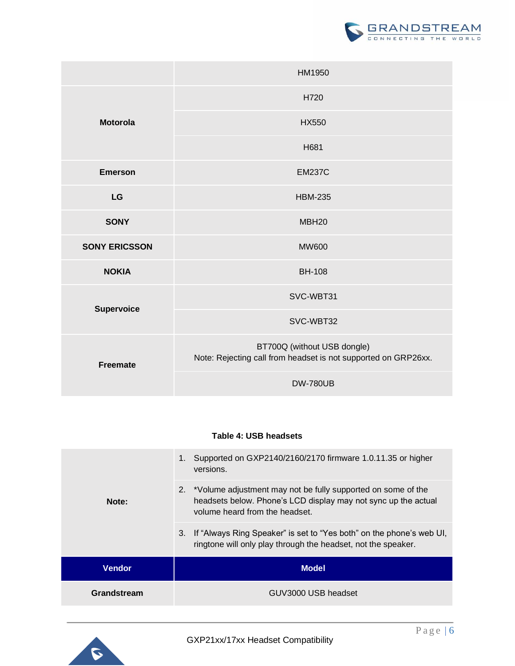

|                                      | HM1950                                                                                        |  |
|--------------------------------------|-----------------------------------------------------------------------------------------------|--|
|                                      | H720                                                                                          |  |
| <b>Motorola</b>                      | <b>HX550</b>                                                                                  |  |
|                                      | H681                                                                                          |  |
| <b>Emerson</b>                       | <b>EM237C</b>                                                                                 |  |
| LG                                   | <b>HBM-235</b>                                                                                |  |
| <b>SONY</b>                          | MBH <sub>20</sub>                                                                             |  |
| <b>SONY ERICSSON</b><br><b>NOKIA</b> | <b>MW600</b>                                                                                  |  |
|                                      | <b>BH-108</b>                                                                                 |  |
|                                      | SVC-WBT31                                                                                     |  |
| Supervoice                           | SVC-WBT32                                                                                     |  |
| <b>Freemate</b>                      | BT700Q (without USB dongle)<br>Note: Rejecting call from headset is not supported on GRP26xx. |  |
|                                      | <b>DW-780UB</b>                                                                               |  |

## **Table 4: USB headsets**

| versions.<br>2. *Volume adjustment may not be fully supported on some of the<br>Note:<br>volume heard from the headset.<br>3.<br>ringtone will only play through the headset, not the speaker.<br><b>Model</b><br><b>Vendor</b> | Grandstream | GUV3000 USB headset                                                  |  |
|---------------------------------------------------------------------------------------------------------------------------------------------------------------------------------------------------------------------------------|-------------|----------------------------------------------------------------------|--|
|                                                                                                                                                                                                                                 |             |                                                                      |  |
|                                                                                                                                                                                                                                 |             | If "Always Ring Speaker" is set to "Yes both" on the phone's web UI, |  |
|                                                                                                                                                                                                                                 |             | headsets below. Phone's LCD display may not sync up the actual       |  |
|                                                                                                                                                                                                                                 |             | Supported on GXP2140/2160/2170 firmware 1.0.11.35 or higher          |  |